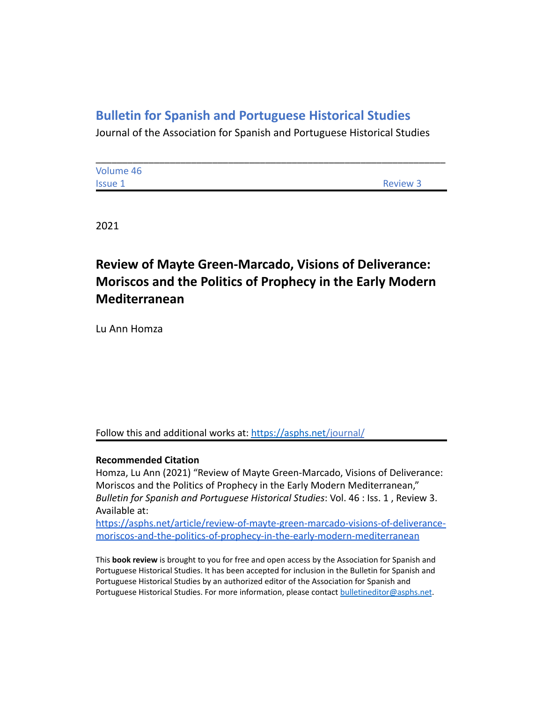## **Bulletin for Spanish and Portuguese Historical Studies**

Journal of the Association for Spanish and Portuguese Historical Studies

| Volume 46      |          |
|----------------|----------|
| <b>Issue 1</b> | Review 3 |

2021

## **Review of Mayte Green-Marcado, Visions of Deliverance: Moriscos and the Politics of Prophecy in the Early Modern Mediterranean**

Lu Ann Homza

Follow this and additional works at: <https://asphs.net/journal/>

## **Recommended Citation**

Homza, Lu Ann (2021) "Review of Mayte Green-Marcado, Visions of Deliverance: Moriscos and the Politics of Prophecy in the Early Modern Mediterranean," *Bulletin for Spanish and Portuguese Historical Studies*: Vol. 46 : Iss. 1 , Review 3. Available at:

[https://asphs.net/article/review-of-mayte-green-marcado-visions-of-deliverance](https://asphs.net/article/review-of-mayte-green-marcado-visions-of-deliverance-moriscos-and-the-politics-of-prophecy-in-the-early-modern-mediterranean)[moriscos-and-the-politics-of-prophecy-in-the-early-modern-mediterranean](https://asphs.net/article/review-of-mayte-green-marcado-visions-of-deliverance-moriscos-and-the-politics-of-prophecy-in-the-early-modern-mediterranean)

This **book review** is brought to you for free and open access by the Association for Spanish and Portuguese Historical Studies. It has been accepted for inclusion in the Bulletin for Spanish and Portuguese Historical Studies by an authorized editor of the Association for Spanish and Portuguese Historical Studies. For more information, please contact [bulletineditor@asphs.net](mailto:bulletineditor@asphs.net).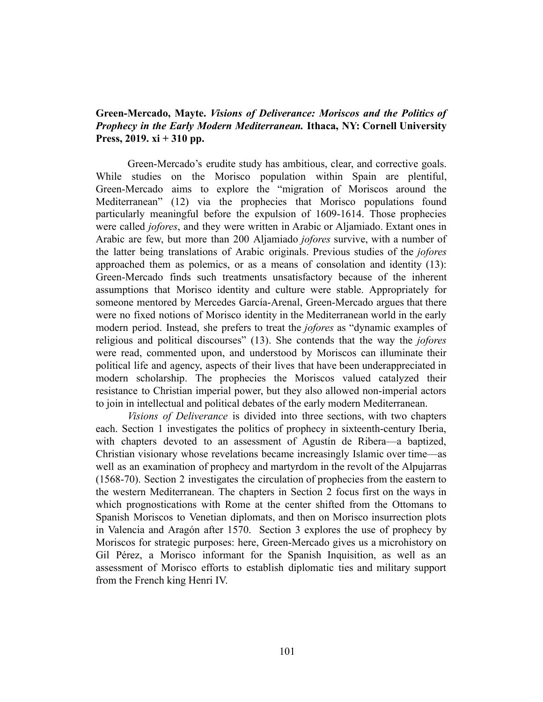## **Green-Mercado, Mayte.** *Visions of Deliverance: Moriscos and the Politics of Prophecy in the Early Modern Mediterranean.* **Ithaca, NY: Cornell University Press, 2019. xi + 310 pp.**

Green-Mercado's erudite study has ambitious, clear, and corrective goals. While studies on the Morisco population within Spain are plentiful, Green-Mercado aims to explore the "migration of Moriscos around the Mediterranean" (12) via the prophecies that Morisco populations found particularly meaningful before the expulsion of 1609-1614. Those prophecies were called *jofores*, and they were written in Arabic or Aljamiado. Extant ones in Arabic are few, but more than 200 Aljamiado *jofores* survive, with a number of the latter being translations of Arabic originals. Previous studies of the *jofores* approached them as polemics, or as a means of consolation and identity (13): Green-Mercado finds such treatments unsatisfactory because of the inherent assumptions that Morisco identity and culture were stable. Appropriately for someone mentored by Mercedes García-Arenal, Green-Mercado argues that there were no fixed notions of Morisco identity in the Mediterranean world in the early modern period. Instead, she prefers to treat the *jofores* as "dynamic examples of religious and political discourses" (13). She contends that the way the *jofores* were read, commented upon, and understood by Moriscos can illuminate their political life and agency, aspects of their lives that have been underappreciated in modern scholarship. The prophecies the Moriscos valued catalyzed their resistance to Christian imperial power, but they also allowed non-imperial actors to join in intellectual and political debates of the early modern Mediterranean.

*Visions of Deliverance* is divided into three sections, with two chapters each. Section 1 investigates the politics of prophecy in sixteenth-century Iberia, with chapters devoted to an assessment of Agustín de Ribera—a baptized, Christian visionary whose revelations became increasingly Islamic over time—as well as an examination of prophecy and martyrdom in the revolt of the Alpujarras (1568-70). Section 2 investigates the circulation of prophecies from the eastern to the western Mediterranean. The chapters in Section 2 focus first on the ways in which prognostications with Rome at the center shifted from the Ottomans to Spanish Moriscos to Venetian diplomats, and then on Morisco insurrection plots in Valencia and Aragón after 1570. Section 3 explores the use of prophecy by Moriscos for strategic purposes: here, Green-Mercado gives us a microhistory on Gil Pérez, a Morisco informant for the Spanish Inquisition, as well as an assessment of Morisco efforts to establish diplomatic ties and military support from the French king Henri IV.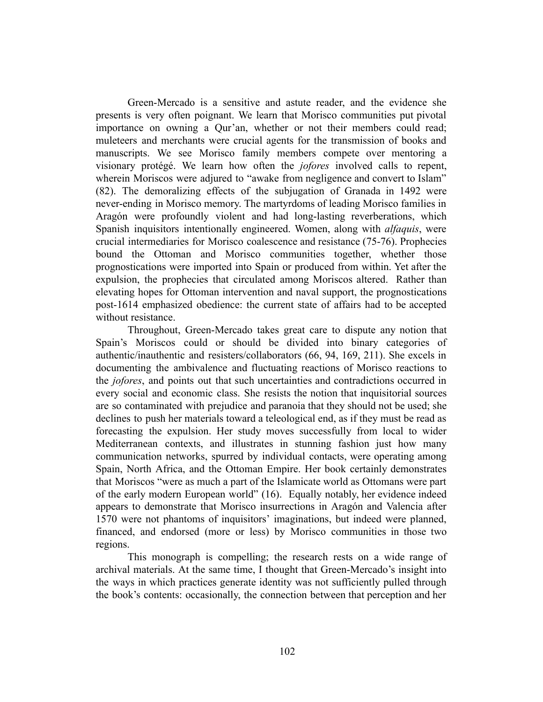Green-Mercado is a sensitive and astute reader, and the evidence she presents is very often poignant. We learn that Morisco communities put pivotal importance on owning a Qur'an, whether or not their members could read; muleteers and merchants were crucial agents for the transmission of books and manuscripts. We see Morisco family members compete over mentoring a visionary protégé. We learn how often the *jofores* involved calls to repent, wherein Moriscos were adjured to "awake from negligence and convert to Islam" (82). The demoralizing effects of the subjugation of Granada in 1492 were never-ending in Morisco memory. The martyrdoms of leading Morisco families in Aragón were profoundly violent and had long-lasting reverberations, which Spanish inquisitors intentionally engineered. Women, along with *alfaquis*, were crucial intermediaries for Morisco coalescence and resistance (75-76). Prophecies bound the Ottoman and Morisco communities together, whether those prognostications were imported into Spain or produced from within. Yet after the expulsion, the prophecies that circulated among Moriscos altered. Rather than elevating hopes for Ottoman intervention and naval support, the prognostications post-1614 emphasized obedience: the current state of affairs had to be accepted without resistance.

Throughout, Green-Mercado takes great care to dispute any notion that Spain's Moriscos could or should be divided into binary categories of authentic/inauthentic and resisters/collaborators (66, 94, 169, 211). She excels in documenting the ambivalence and fluctuating reactions of Morisco reactions to the *jofores*, and points out that such uncertainties and contradictions occurred in every social and economic class. She resists the notion that inquisitorial sources are so contaminated with prejudice and paranoia that they should not be used; she declines to push her materials toward a teleological end, as if they must be read as forecasting the expulsion. Her study moves successfully from local to wider Mediterranean contexts, and illustrates in stunning fashion just how many communication networks, spurred by individual contacts, were operating among Spain, North Africa, and the Ottoman Empire. Her book certainly demonstrates that Moriscos "were as much a part of the Islamicate world as Ottomans were part of the early modern European world" (16). Equally notably, her evidence indeed appears to demonstrate that Morisco insurrections in Aragón and Valencia after 1570 were not phantoms of inquisitors' imaginations, but indeed were planned, financed, and endorsed (more or less) by Morisco communities in those two regions.

This monograph is compelling; the research rests on a wide range of archival materials. At the same time, I thought that Green-Mercado's insight into the ways in which practices generate identity was not sufficiently pulled through the book's contents: occasionally, the connection between that perception and her